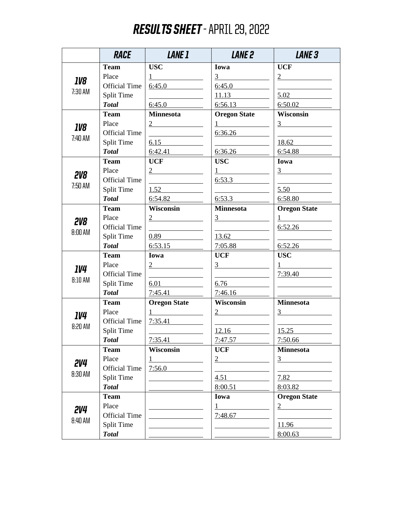## RESULTS SHEET - APRIL 29, 2022

|                              | <b>RACE</b>          | <i><b>LANE 1</b></i>                 | <b>LANE 2</b>                                                                                                                                                                                                                                                                                                                                                                                                                            | <b>LANE 3</b>                                |
|------------------------------|----------------------|--------------------------------------|------------------------------------------------------------------------------------------------------------------------------------------------------------------------------------------------------------------------------------------------------------------------------------------------------------------------------------------------------------------------------------------------------------------------------------------|----------------------------------------------|
| <i><b>IV8</b></i><br>7:30 AM | <b>Team</b>          | <b>USC</b>                           | Iowa                                                                                                                                                                                                                                                                                                                                                                                                                                     | <b>UCF</b>                                   |
|                              | Place                | $1 \qquad \qquad$                    |                                                                                                                                                                                                                                                                                                                                                                                                                                          | $\frac{2}{ }$                                |
|                              | <b>Official Time</b> | 6:45.0                               | 6:45.0                                                                                                                                                                                                                                                                                                                                                                                                                                   |                                              |
|                              | <b>Split Time</b>    |                                      | 11.13                                                                                                                                                                                                                                                                                                                                                                                                                                    | 5.02                                         |
|                              | <b>Total</b>         | 6:45.0                               | 6:56.13                                                                                                                                                                                                                                                                                                                                                                                                                                  | 6:50.02                                      |
|                              | <b>Team</b>          | Minnesota                            | <b>Oregon State</b>                                                                                                                                                                                                                                                                                                                                                                                                                      | Wisconsin                                    |
| <i><b>IV8</b></i><br>7:40 AM | Place                | $\frac{2}{ }$                        | $\frac{1}{\sqrt{1-\frac{1}{2}}\left(1-\frac{1}{2}\right)}\frac{1}{\sqrt{1-\frac{1}{2}}\left(1-\frac{1}{2}\right)}\frac{1}{\sqrt{1-\frac{1}{2}}\left(1-\frac{1}{2}\right)}\frac{1}{\sqrt{1-\frac{1}{2}}\left(1-\frac{1}{2}\right)}\frac{1}{\sqrt{1-\frac{1}{2}}\left(1-\frac{1}{2}\right)}\frac{1}{\sqrt{1-\frac{1}{2}}\left(1-\frac{1}{2}\right)}\frac{1}{\sqrt{1-\frac{1}{2}}\left(1-\frac{1}{2}\right)}\frac{1}{\sqrt{1-\frac{1}{2}}\$ | $\frac{3}{2}$                                |
|                              | <b>Official Time</b> |                                      | 6:36.26                                                                                                                                                                                                                                                                                                                                                                                                                                  |                                              |
|                              | Split Time           | 6.15                                 |                                                                                                                                                                                                                                                                                                                                                                                                                                          | 18.62                                        |
|                              | <b>Total</b>         | 6:42.41                              | 6:36.26                                                                                                                                                                                                                                                                                                                                                                                                                                  | 6:54.88                                      |
|                              | Team                 | <b>UCF</b>                           | <b>USC</b>                                                                                                                                                                                                                                                                                                                                                                                                                               | Iowa                                         |
| <b>2V8</b>                   | Place                | $\overline{2}$                       | $1 \qquad \qquad$                                                                                                                                                                                                                                                                                                                                                                                                                        | $3 \left( \frac{1}{2} \right)$               |
| 7:50 AM                      | <b>Official Time</b> |                                      | 6:53.3                                                                                                                                                                                                                                                                                                                                                                                                                                   |                                              |
|                              | Split Time           | 1.52                                 | <u> 1989 - Johann Barbara, martin a</u>                                                                                                                                                                                                                                                                                                                                                                                                  | 5.50                                         |
|                              | <b>Total</b>         | 6:54.82                              | 6:53.3                                                                                                                                                                                                                                                                                                                                                                                                                                   | 6:58.80                                      |
|                              | Team                 | Wisconsin                            | <b>Minnesota</b>                                                                                                                                                                                                                                                                                                                                                                                                                         | <b>Oregon State</b>                          |
| <b>2V8</b>                   | Place                | $\frac{2}{ }$                        | $\frac{3}{2}$                                                                                                                                                                                                                                                                                                                                                                                                                            | $1$ and the set of $\sim$                    |
| $8:00$ AM                    | <b>Official Time</b> |                                      |                                                                                                                                                                                                                                                                                                                                                                                                                                          | 6:52.26                                      |
|                              | <b>Split Time</b>    | 0.89                                 |                                                                                                                                                                                                                                                                                                                                                                                                                                          |                                              |
|                              | <b>Total</b>         | 6:53.15                              | 7:05.88                                                                                                                                                                                                                                                                                                                                                                                                                                  | 6:52.26                                      |
|                              | <b>Team</b>          | Iowa                                 | <b>UCF</b>                                                                                                                                                                                                                                                                                                                                                                                                                               | <b>USC</b>                                   |
| <i><b>IV4</b></i>            | Place                | $\frac{2}{\sqrt{2}}$                 | $\frac{3}{2}$                                                                                                                                                                                                                                                                                                                                                                                                                            | $1 \qquad \qquad \underline{\qquad \qquad }$ |
| 8:10AM                       | <b>Official Time</b> |                                      | <u> 1980 - Johann Barbara, martxa al</u>                                                                                                                                                                                                                                                                                                                                                                                                 | 7:39.40                                      |
|                              | <b>Split Time</b>    | $6.01$                               | 6.76                                                                                                                                                                                                                                                                                                                                                                                                                                     |                                              |
|                              | <b>Total</b>         | 7:45.41                              | 7:46.16                                                                                                                                                                                                                                                                                                                                                                                                                                  |                                              |
|                              | <b>Team</b>          | <b>Oregon State</b>                  | Wisconsin                                                                                                                                                                                                                                                                                                                                                                                                                                | <b>Minnesota</b>                             |
| <i><b>IV4</b></i>            | Place                | $1 \qquad \qquad \underline{\qquad}$ | $\frac{2}{ }$                                                                                                                                                                                                                                                                                                                                                                                                                            | $\frac{3}{2}$                                |
| 8:20 AM                      | <b>Official Time</b> | 7:35.41                              |                                                                                                                                                                                                                                                                                                                                                                                                                                          |                                              |
|                              | Split Time           |                                      | 12.16                                                                                                                                                                                                                                                                                                                                                                                                                                    | 15.25                                        |
|                              | <b>Total</b>         | 7:35.41                              | 7:47.57                                                                                                                                                                                                                                                                                                                                                                                                                                  | 7:50.66                                      |
|                              | <b>Team</b>          | Wisconsin                            | <b>UCF</b>                                                                                                                                                                                                                                                                                                                                                                                                                               | <b>Minnesota</b>                             |
| 2V4                          | Place                | <u> 1990 - Jan Jawa Barat, pre</u>   | $\frac{2}{ }$                                                                                                                                                                                                                                                                                                                                                                                                                            | $\frac{3}{2}$                                |
| 8:30 AM                      | <b>Official Time</b> | 7:56.0                               |                                                                                                                                                                                                                                                                                                                                                                                                                                          |                                              |
|                              | Split Time           |                                      | 4.51                                                                                                                                                                                                                                                                                                                                                                                                                                     | 7.82                                         |
|                              | <b>Total</b>         |                                      | 8:00.51                                                                                                                                                                                                                                                                                                                                                                                                                                  | 8:03.82                                      |
| 2V4<br>8:40 AM               | <b>Team</b>          |                                      | Iowa                                                                                                                                                                                                                                                                                                                                                                                                                                     | <b>Oregon State</b>                          |
|                              | Place                |                                      | 1                                                                                                                                                                                                                                                                                                                                                                                                                                        | $\frac{2}{\sqrt{2}}$                         |
|                              | <b>Official Time</b> |                                      | 7:48.67                                                                                                                                                                                                                                                                                                                                                                                                                                  |                                              |
|                              | <b>Split Time</b>    |                                      |                                                                                                                                                                                                                                                                                                                                                                                                                                          | 11.96                                        |
|                              | <b>Total</b>         |                                      |                                                                                                                                                                                                                                                                                                                                                                                                                                          | 8:00.63                                      |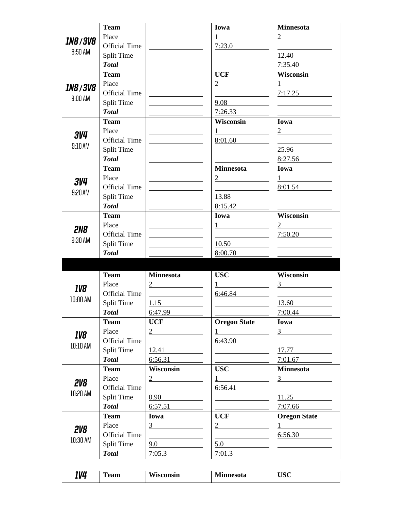| <b>Team</b>          |                                                                                                                                                                                                                                                                                  | Iowa                                                                                                                                                                                                                                                                                                                                                                          | <b>Minnesota</b>                                                                                                                 |
|----------------------|----------------------------------------------------------------------------------------------------------------------------------------------------------------------------------------------------------------------------------------------------------------------------------|-------------------------------------------------------------------------------------------------------------------------------------------------------------------------------------------------------------------------------------------------------------------------------------------------------------------------------------------------------------------------------|----------------------------------------------------------------------------------------------------------------------------------|
| Place                |                                                                                                                                                                                                                                                                                  |                                                                                                                                                                                                                                                                                                                                                                               | $\overline{2}$                                                                                                                   |
| <b>Official Time</b> |                                                                                                                                                                                                                                                                                  | 7:23.0                                                                                                                                                                                                                                                                                                                                                                        |                                                                                                                                  |
| Split Time           |                                                                                                                                                                                                                                                                                  |                                                                                                                                                                                                                                                                                                                                                                               | 12.40                                                                                                                            |
| <b>Total</b>         |                                                                                                                                                                                                                                                                                  |                                                                                                                                                                                                                                                                                                                                                                               | 7:35.40                                                                                                                          |
|                      |                                                                                                                                                                                                                                                                                  | <b>UCF</b>                                                                                                                                                                                                                                                                                                                                                                    | Wisconsin                                                                                                                        |
| Place                |                                                                                                                                                                                                                                                                                  | $\overline{2}$                                                                                                                                                                                                                                                                                                                                                                | 1                                                                                                                                |
| <b>Official Time</b> |                                                                                                                                                                                                                                                                                  |                                                                                                                                                                                                                                                                                                                                                                               | 7:17.25                                                                                                                          |
|                      |                                                                                                                                                                                                                                                                                  |                                                                                                                                                                                                                                                                                                                                                                               |                                                                                                                                  |
|                      |                                                                                                                                                                                                                                                                                  |                                                                                                                                                                                                                                                                                                                                                                               |                                                                                                                                  |
|                      |                                                                                                                                                                                                                                                                                  |                                                                                                                                                                                                                                                                                                                                                                               | Iowa                                                                                                                             |
|                      |                                                                                                                                                                                                                                                                                  |                                                                                                                                                                                                                                                                                                                                                                               | 2                                                                                                                                |
|                      |                                                                                                                                                                                                                                                                                  |                                                                                                                                                                                                                                                                                                                                                                               |                                                                                                                                  |
|                      |                                                                                                                                                                                                                                                                                  |                                                                                                                                                                                                                                                                                                                                                                               | 25.96                                                                                                                            |
|                      |                                                                                                                                                                                                                                                                                  |                                                                                                                                                                                                                                                                                                                                                                               | 8:27.56                                                                                                                          |
|                      |                                                                                                                                                                                                                                                                                  |                                                                                                                                                                                                                                                                                                                                                                               | Iowa                                                                                                                             |
|                      |                                                                                                                                                                                                                                                                                  | $\frac{2}{ }$                                                                                                                                                                                                                                                                                                                                                                 | $1 \quad \blacksquare$                                                                                                           |
|                      |                                                                                                                                                                                                                                                                                  |                                                                                                                                                                                                                                                                                                                                                                               | 8:01.54                                                                                                                          |
|                      |                                                                                                                                                                                                                                                                                  |                                                                                                                                                                                                                                                                                                                                                                               |                                                                                                                                  |
|                      |                                                                                                                                                                                                                                                                                  |                                                                                                                                                                                                                                                                                                                                                                               |                                                                                                                                  |
|                      |                                                                                                                                                                                                                                                                                  | Iowa                                                                                                                                                                                                                                                                                                                                                                          | <b>Wisconsin</b>                                                                                                                 |
|                      |                                                                                                                                                                                                                                                                                  |                                                                                                                                                                                                                                                                                                                                                                               | $\overline{2}$                                                                                                                   |
| <b>Official Time</b> |                                                                                                                                                                                                                                                                                  |                                                                                                                                                                                                                                                                                                                                                                               | 7:50.20                                                                                                                          |
|                      |                                                                                                                                                                                                                                                                                  |                                                                                                                                                                                                                                                                                                                                                                               |                                                                                                                                  |
|                      |                                                                                                                                                                                                                                                                                  | 8:00.70                                                                                                                                                                                                                                                                                                                                                                       |                                                                                                                                  |
|                      |                                                                                                                                                                                                                                                                                  |                                                                                                                                                                                                                                                                                                                                                                               |                                                                                                                                  |
| <b>Team</b>          | <b>Minnesota</b>                                                                                                                                                                                                                                                                 | <b>USC</b>                                                                                                                                                                                                                                                                                                                                                                    | Wisconsin                                                                                                                        |
| Place                | 2                                                                                                                                                                                                                                                                                |                                                                                                                                                                                                                                                                                                                                                                               | 3                                                                                                                                |
|                      |                                                                                                                                                                                                                                                                                  | 6:46.84                                                                                                                                                                                                                                                                                                                                                                       |                                                                                                                                  |
|                      |                                                                                                                                                                                                                                                                                  |                                                                                                                                                                                                                                                                                                                                                                               |                                                                                                                                  |
| <b>Split Time</b>    | 1.15                                                                                                                                                                                                                                                                             |                                                                                                                                                                                                                                                                                                                                                                               | 13.60                                                                                                                            |
| <b>Total</b>         | 6:47.99                                                                                                                                                                                                                                                                          |                                                                                                                                                                                                                                                                                                                                                                               | 7:00.44                                                                                                                          |
| <b>Team</b>          | <b>UCF</b>                                                                                                                                                                                                                                                                       | <b>Oregon State</b>                                                                                                                                                                                                                                                                                                                                                           | Iowa                                                                                                                             |
| Place                | $\frac{2}{ }$                                                                                                                                                                                                                                                                    | $1$ and $\overline{\phantom{a}1}$ and $\overline{\phantom{a}1}$ and $\overline{\phantom{a}1}$ and $\overline{\phantom{a}1}$ and $\overline{\phantom{a}1}$ and $\overline{\phantom{a}1}$ and $\overline{\phantom{a}1}$ and $\overline{\phantom{a}1}$ and $\overline{\phantom{a}1}$ and $\overline{\phantom{a}1}$ and $\overline{\phantom{a}1}$ and $\overline{\phantom{a}1}$ a | $\frac{3}{2}$                                                                                                                    |
| <b>Official Time</b> |                                                                                                                                                                                                                                                                                  | 6:43.90                                                                                                                                                                                                                                                                                                                                                                       |                                                                                                                                  |
| <b>Split Time</b>    | 12.41                                                                                                                                                                                                                                                                            | <u> The Common State of the Common State of the Common State of the Common State of the Common State of the Common State of the Common State of the Common State of the Common State of the Common State of the Common State of </u>                                                                                                                                          | 17.77                                                                                                                            |
| <b>Total</b>         | 6:56.31                                                                                                                                                                                                                                                                          |                                                                                                                                                                                                                                                                                                                                                                               | 7:01.67                                                                                                                          |
| <b>Team</b>          | Wisconsin                                                                                                                                                                                                                                                                        | <b>USC</b>                                                                                                                                                                                                                                                                                                                                                                    | <b>Minnesota</b>                                                                                                                 |
| Place                | $\frac{2}{ }$                                                                                                                                                                                                                                                                    | $1$ and $\sim$                                                                                                                                                                                                                                                                                                                                                                |                                                                                                                                  |
| <b>Official Time</b> |                                                                                                                                                                                                                                                                                  | 6:56.41                                                                                                                                                                                                                                                                                                                                                                       | $\frac{3}{2}$<br>$\overline{\phantom{a}}$ and $\overline{\phantom{a}}$ and $\overline{\phantom{a}}$ and $\overline{\phantom{a}}$ |
| <b>Split Time</b>    | 0.90                                                                                                                                                                                                                                                                             |                                                                                                                                                                                                                                                                                                                                                                               | 11.25                                                                                                                            |
| <b>Total</b>         | 6:57.51                                                                                                                                                                                                                                                                          |                                                                                                                                                                                                                                                                                                                                                                               | 7:07.66                                                                                                                          |
| <b>Team</b>          | Iowa                                                                                                                                                                                                                                                                             | <b>UCF</b>                                                                                                                                                                                                                                                                                                                                                                    | <b>Oregon State</b>                                                                                                              |
| Place                | $\frac{3}{2}$                                                                                                                                                                                                                                                                    | $\frac{2}{\sqrt{2}}$                                                                                                                                                                                                                                                                                                                                                          | $1$ and $\sim$                                                                                                                   |
| <b>Official Time</b> |                                                                                                                                                                                                                                                                                  | <u>and the state of the state of the state of the state of the state of the state of the state of the state of the state of the state of the state of the state of the state of the state of the state of the state of the state</u>                                                                                                                                          | 6:56.30                                                                                                                          |
| <b>Split Time</b>    | 9.0                                                                                                                                                                                                                                                                              | 5.0                                                                                                                                                                                                                                                                                                                                                                           |                                                                                                                                  |
|                      | Team<br><b>Split Time</b><br><b>Total</b><br><b>Team</b><br>Place<br><b>Official Time</b><br><b>Split Time</b><br><b>Total</b><br><b>Team</b><br>Place<br><b>Official Time</b><br><b>Split Time</b><br><b>Total</b><br><b>Team</b><br>Place<br><b>Split Time</b><br><b>Total</b> | <b>Official Time</b>                                                                                                                                                                                                                                                                                                                                                          | 9.08<br>7:26.33<br>Wisconsin<br>8:01.60<br><b>Minnesota</b><br>13.88<br>8:15.42<br>10.50                                         |

| 1V4<br>Wisconsin<br>רזמרי<br>Mi<br>$\overline{ }$<br>linnesota<br>Team<br>UDU |  |
|-------------------------------------------------------------------------------|--|
|-------------------------------------------------------------------------------|--|